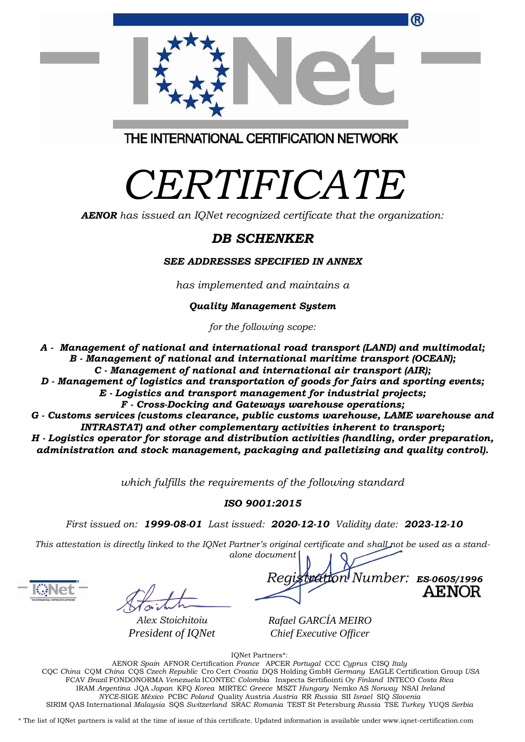| ®                                       |  |
|-----------------------------------------|--|
| THE INTERNATIONAL CERTIFICATION NETWORK |  |

# *CERTIFICATE*

*AENOR has issued an IQNet recognized certificate that the organization:*

## *DB SCHENKER*

#### *SEE ADDRESSES SPECIFIED IN ANNEX*

*has implemented and maintains a*

#### *Quality Management System*

*for the following scope:* 

- *A Management of national and international road transport (LAND) and multimodal; B - Management of national and international maritime transport (OCEAN);*
	- *C - Management of national and international air transport (AIR);*
- *D - Management of logistics and transportation of goods for fairs and sporting events;*
	- *E - Logistics and transport management for industrial projects;*
		- *F - Cross-Docking and Gateways warehouse operations;*
- *G - Customs services (customs clearance, public customs warehouse, LAME warehouse and INTRASTAT) and other complementary activities inherent to transport;*

*H - Logistics operator for storage and distribution activities (handling, order preparation, administration and stock management, packaging and palletizing and quality control).*

*which fulfills the requirements of the following standard*

### *ISO 9001:2015*

*First issued on: 1999-08-01 Last issued: 2020-12-10 Validity date: 2023-12-10*

This attestation is directly linked to the IQNet Partner's original certificate and shall not be used as a stand*alone document*

*Alex Stoichitoiu President of IQNet*

*Registration Number: ES-0605/1996*



*Rafael GARCÍA MEIRO Chief Executive Officer*

IQNet Partners\*:

AENOR *Spain* AFNOR Certification *France* APCER *Portugal* CCC *Cyprus* CISQ *Italy* CQC *China* CQM *China* CQS *Czech Republic* Cro Cert *Croatia* DQS Holding GmbH *Germany* EAGLE Certification Group *USA* FCAV *Brazil* FONDONORMA *Venezuela* ICONTEC *Colombia* Inspecta Sertifiointi Oy *Finland* INTECO *Costa Rica* IRAM *Argentina* JQA *Japan* KFQ *Korea* MIRTEC *Greece* MSZT *Hungary* Nemko AS *Norway* NSAI *Ireland NYCE-*SIGE *México* PCBC *Poland* Quality Austria *Austria* RR *Russia* SII *Israel* SIQ *Slovenia*  SIRIM QAS International *Malaysia* SQS *Switzerland* SRAC *Romania* TEST St Petersburg *Russia* TSE *Turkey* YUQS *Serbia*

\* The list of IQNet partners is valid at the time of issue of this certificate. Updated information is available under www.iqnet-certification.com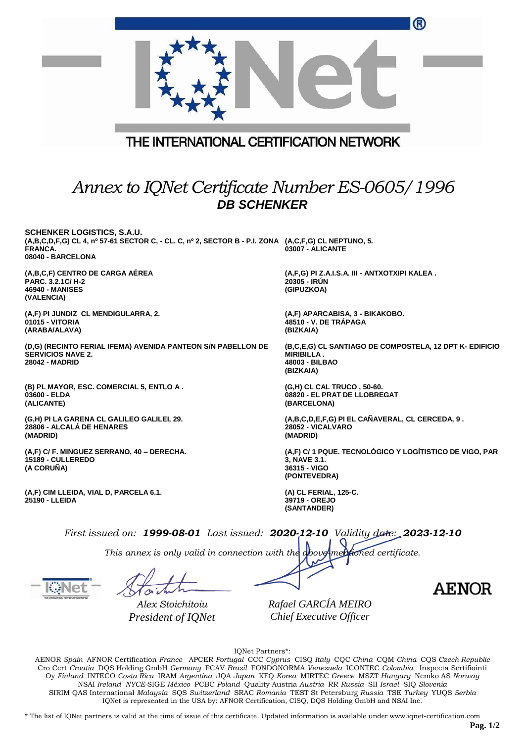| THE INTERNATIONAL CERTIFICATION NETWORK<br>Annex to IQNet Certificate Number ES-0605/1996                                                                                                                                                                                                                                                                                                                                                                                                              | ®                                                                                                           |
|--------------------------------------------------------------------------------------------------------------------------------------------------------------------------------------------------------------------------------------------------------------------------------------------------------------------------------------------------------------------------------------------------------------------------------------------------------------------------------------------------------|-------------------------------------------------------------------------------------------------------------|
| <b>DB SCHENKER</b>                                                                                                                                                                                                                                                                                                                                                                                                                                                                                     |                                                                                                             |
| <b>SCHENKER LOGISTICS, S.A.U.</b><br>(A,B,C,D,F,G) CL 4, nº 57-61 SECTOR C, - CL. C, nº 2, SECTOR B - P.I. ZONA (A,C,F,G) CL NEPTUNO, 5.<br>FRANCA.<br>08040 - BARCELONA                                                                                                                                                                                                                                                                                                                               | 03007 - ALICANTE                                                                                            |
| (A,B,C,F) CENTRO DE CARGA AÉREA<br>PARC, 3.2.1C/ H-2<br>46940 - MANISES<br>(VALENCIA)                                                                                                                                                                                                                                                                                                                                                                                                                  | (A,F,G) PI Z.A.I.S.A. III - ANTXOTXIPI KALEA.<br>20305 - IRÚN<br>(GIPUZKOA)                                 |
| (A,F) PI JUNDIZ CL MENDIGULARRA, 2.<br><b>01015 - VITORIA</b><br>(ARABA/ALAVA)                                                                                                                                                                                                                                                                                                                                                                                                                         | (A,F) APARCABISA, 3 - BIKAKOBO.<br>48510 - V. DE TRAPAGA<br>(BIZKAIA)                                       |
| (D,G) (RECINTO FERIAL IFEMA) AVENIDA PANTEON S/N PABELLON DE<br><b>SERVICIOS NAVE 2.</b><br>28042 - MADRID                                                                                                                                                                                                                                                                                                                                                                                             | (B,C,E,G) CL SANTIAGO DE COMPOSTELA, 12 DPT K- EDIFICIO<br><b>MIRIBILLA.</b><br>48003 - BILBAO<br>(BIZKAIA) |
| (B) PL MAYOR, ESC. COMERCIAL 5, ENTLO A.<br>03600 - ELDA<br>(ALICANTE)                                                                                                                                                                                                                                                                                                                                                                                                                                 | (G,H) CL CAL TRUCO, 50-60.<br>08820 - EL PRAT DE LLOBREGAT<br>(BARCELONA)                                   |
| (G,H) PI LA GARENA CL GALILEO GALILEI, 29.<br>28806 - ALCALÁ DE HENARES<br>(MADRID)                                                                                                                                                                                                                                                                                                                                                                                                                    | (A,B,C,D,E,F,G) PI EL CAÑAVERAL, CL CERCEDA, 9.<br>28052 - VICALVARO<br>(MADRID)                            |
| (A,F) C/ F. MINGUEZ SERRANO, 40 - DERECHA.<br>15189 - CULLEREDO<br>(A CORUÑA)                                                                                                                                                                                                                                                                                                                                                                                                                          | (A,F) C/ 1 PQUE. TECNOLÓGICO Y LOGÍTISTICO DE VIGO, PAR<br>3, NAVE 3.1.<br>36315 - VIGO<br>(PONTEVEDRA)     |
| (A,F) CIM LLEIDA, VIAL D, PARCELA 6.1.<br>25190 - LLEIDA                                                                                                                                                                                                                                                                                                                                                                                                                                               | (A) CL FERIAL, 125-C.<br>39719 - OREJO<br>(SANTANDER)                                                       |
| First issued on: 1999-08-01 Last issued: 2020-12-10 Validity date: 2023-12-10                                                                                                                                                                                                                                                                                                                                                                                                                          |                                                                                                             |
| This annex is only valid in connection with the above mentioned certificate.                                                                                                                                                                                                                                                                                                                                                                                                                           |                                                                                                             |
|                                                                                                                                                                                                                                                                                                                                                                                                                                                                                                        |                                                                                                             |
|                                                                                                                                                                                                                                                                                                                                                                                                                                                                                                        | <b>AENOR</b>                                                                                                |
| Alex Stoichitoiu                                                                                                                                                                                                                                                                                                                                                                                                                                                                                       | Rafael GARCÍA MEIRO                                                                                         |
| President of IQNet<br>IQNet Partners*:<br>AENOR Spain AFNOR Certification France APCER Portugal CCC Cyprus CISQ Italy CQC China CQM China CQS Czech Republic<br>Cro Cert Croatia DQS Holding GmbH Germany FCAV Brazil FONDONORMA Venezuela ICONTEC Colombia Inspecta Sertifiointi<br>Oy Finland INTECO Costa Rica IRAM Argentina JQA Japan KFQ Korea MIRTEC Greece MSZT Hungary Nemko AS Norway<br>NSAI Ireland NYCE-SIGE México PCBC Poland Quality Austria Austria RR Russia SII Israel SIQ Slovenia | Chief Executive Officer                                                                                     |

SIRIM QAS International *Malaysia* SQS *Switzerland* SRAC *Romania* TEST St Petersburg *Russia* TSE *Turkey* YUQS *Serbia* IQNet is represented in the USA by: AFNOR Certification, CISQ, DQS Holding GmbH and NSAI Inc.

\* The list of IQNet partners is valid at the time of issue of this certificate. Updated information is available under www.iqnet-certification.com